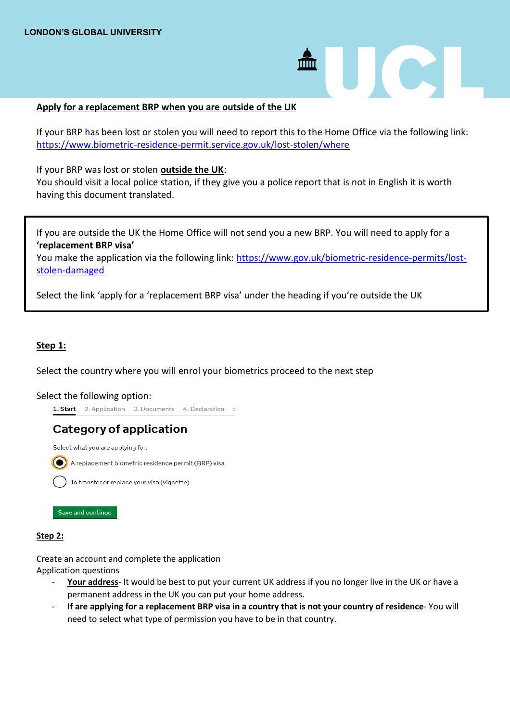## **Apply for a replacement BRP when you are outside of the UK**

If your BRP has been lost or stolen you will need to report this to the Home Office via the following link: <https://www.biometric-residence-permit.service.gov.uk/lost-stolen/where>

 $\overline{\text{mm}}$ 

**CALL** 

If your BRP was lost or stolen **outside the UK**:

You should visit a local police station, if they give you a police report that is not in English it is worth having this document translated.

If you are outside the UK the Home Office will not send you a new BRP. You will need to apply for a **'replacement BRP visa'**

You make the application via the following link: [https://www.gov.uk/biometric-residence-permits/lost](https://www.gov.uk/biometric-residence-permits/lost-stolen-damaged)[stolen-damaged](https://www.gov.uk/biometric-residence-permits/lost-stolen-damaged)

Select the link 'apply for a 'replacement BRP visa' under the heading if you're outside the UK

## **Step 1:**

Select the country where you will enrol your biometrics proceed to the next step

### Select the following option:

```
1. Start 2. Application 3. Documents 4. Declaration 5
```
# **Category of application**

Select what you are applying for:

A replacement biometric residence permit (BRP) visa

To transfer or replace your visa (vignette)

Save and continue

### **Step 2:**

Create an account and complete the application Application questions

- Your address- It would be best to put your current UK address if you no longer live in the UK or have a permanent address in the UK you can put your home address.
- **If are applying for a replacement BRP visa in a country that is not your country of residence** You will need to select what type of permission you have to be in that country.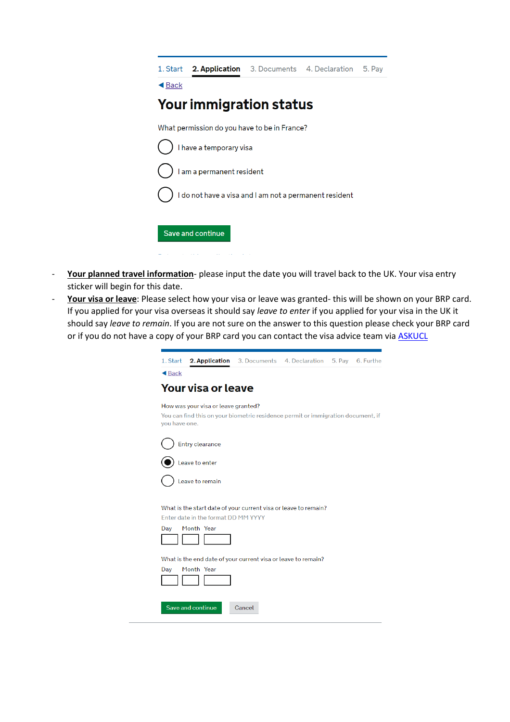|                                                        | 1. Start 2. Application 3. Documents 4. Declaration |  |  | 5. Pay |  |  |  |  |
|--------------------------------------------------------|-----------------------------------------------------|--|--|--------|--|--|--|--|
| $\triangleleft$ Back                                   |                                                     |  |  |        |  |  |  |  |
| <b>Your immigration status</b>                         |                                                     |  |  |        |  |  |  |  |
| What permission do you have to be in France?           |                                                     |  |  |        |  |  |  |  |
| I have a temporary visa                                |                                                     |  |  |        |  |  |  |  |
| I am a permanent resident                              |                                                     |  |  |        |  |  |  |  |
| I do not have a visa and I am not a permanent resident |                                                     |  |  |        |  |  |  |  |
| Save and continue                                      |                                                     |  |  |        |  |  |  |  |

- **Your planned travel information** please input the date you will travel back to the UK. Your visa entry sticker will begin for this date.
- **Your visa or leave**: Please select how your visa or leave was granted- this will be shown on your BRP card. If you applied for your visa overseas it should say *leave to enter* if you applied for your visa in the UK it should say *leave to remain*. If you are not sure on the answer to this question please check your BRP card or if you do not have a copy of your BRP card you can contact the visa advice team via **ASKUCL**

| 1. Start             | 2. Application                                                                                                          |        | 3. Documents 4. Declaration 5. Pay 6. Further |  |
|----------------------|-------------------------------------------------------------------------------------------------------------------------|--------|-----------------------------------------------|--|
| $\triangleleft$ Back |                                                                                                                         |        |                                               |  |
|                      | Your visa or leave                                                                                                      |        |                                               |  |
| you have one.        | How was your visa or leave granted?<br>You can find this on your biometric residence permit or immigration document, if |        |                                               |  |
|                      | Entry clearance                                                                                                         |        |                                               |  |
|                      | Leave to enter                                                                                                          |        |                                               |  |
|                      | Leave to remain                                                                                                         |        |                                               |  |
| Day                  | What is the start date of your current visa or leave to remain?<br>Enter date in the format DD MM YYYY<br>Month Year    |        |                                               |  |
| Day                  | What is the end date of your current visa or leave to remain?<br>Month Year                                             |        |                                               |  |
|                      | Save and continue                                                                                                       | Cancel |                                               |  |